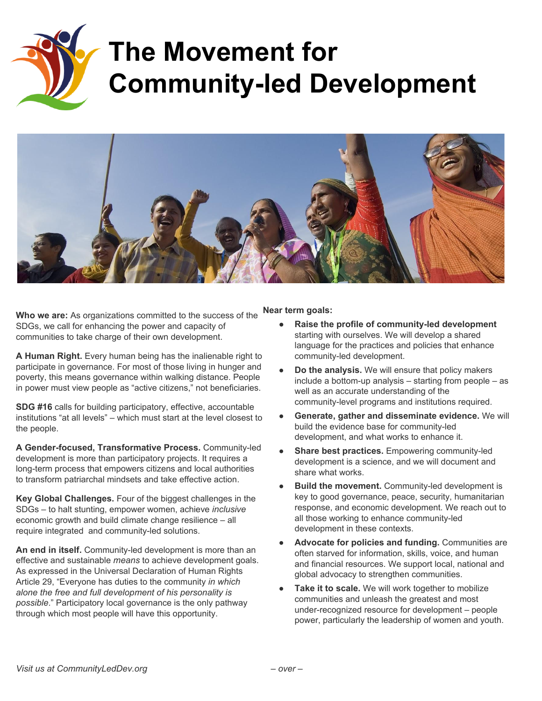

## **The Movement for Community-led Development**



**Who we are:** As organizations committed to the success of the SDGs, we call for enhancing the power and capacity of communities to take charge of their own development.

**A Human Right.** Every human being has the inalienable right to participate in governance. For most of those living in hunger and poverty, this means governance within walking distance. People in power must view people as "active citizens," not beneficiaries.

**SDG #16**calls for building participatory, effective, accountable institutions "at all levels" – which must start at the level closest to the people.

A Gender-focused, Transformative Process. Community-led development is more than participatory projects. It requires a long-term process that empowers citizens and local authorities to transform patriarchal mindsets and take effective action.

**Key Global Challenges.** Four of the biggest challenges in the SDGs – to halt stunting, empower women, achieve *inclusive* economic growth and build climate change resilience – all require integrated and community-led solutions.

An end in itself. Community-led development is more than an effective and sustainable *means* to achieve development goals. As expressed in the Universal Declaration of Human Rights Article 29, "Everyone has duties to the community *in which alone the free and full development of his personality is possible*." Participatory local governance is the only pathway through which most people will have this opportunity.

**Near term goals:**

- **● Raise the profile of communityled development** starting with ourselves. We will develop a shared language for the practices and policies that enhance community-led development.
- **Do the analysis.** We will ensure that policy makers include a bottom-up analysis  $-$  starting from people  $-$  as well as an accurate understanding of the community-level programs and institutions required.
- **Generate, gather and disseminate evidence.** We will build the evidence base for community-led development, and what works to enhance it.
- **Share best practices.** Empowering community-led development is a science, and we will document and share what works.
- **Build the movement.** Community-led development is key to good governance, peace, security, humanitarian response, and economic development. We reach out to all those working to enhance community-led development in these contexts.
- **Advocate for policies and funding.** Communities are often starved for information, skills, voice, and human and financial resources. We support local, national and global advocacy to strengthen communities.
- **Take it to scale.** We will work together to mobilize communities and unleash the greatest and most under-recognized resource for development  $-$  people power, particularly the leadership of women and youth.